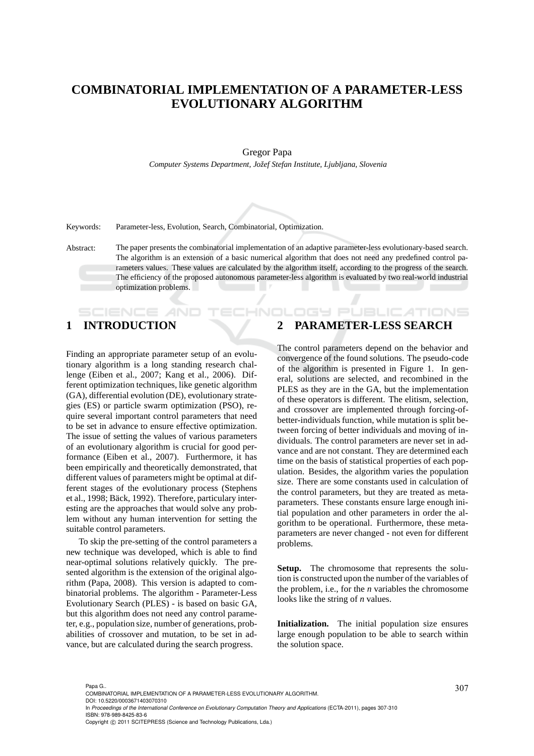# **COMBINATORIAL IMPLEMENTATION OF A PARAMETER-LESS EVOLUTIONARY ALGORITHM**

### Gregor Papa

*Computer Systems Department, Joˇzef Stefan Institute, Ljubljana, Slovenia*

Keywords: Parameter-less, Evolution, Search, Combinatorial, Optimization.

Abstract: The paper presents the combinatorial implementation of an adaptive parameter-less evolutionary-based search. The algorithm is an extension of a basic numerical algorithm that does not need any predefined control parameters values. These values are calculated by the algorithm itself, according to the progress of the search. The efficiency of the proposed autonomous parameter-less algorithm is evaluated by two real-world industrial optimization problems.

**CHNOL** 

# **1 INTRODUCTION**

SCIENCE AN

Finding an appropriate parameter setup of an evolutionary algorithm is a long standing research challenge (Eiben et al., 2007; Kang et al., 2006). Different optimization techniques, like genetic algorithm (GA), differential evolution (DE), evolutionary strategies (ES) or particle swarm optimization (PSO), require several important control parameters that need to be set in advance to ensure effective optimization. The issue of setting the values of various parameters of an evolutionary algorithm is crucial for good performance (Eiben et al., 2007). Furthermore, it has been empirically and theoretically demonstrated, that different values of parameters might be optimal at different stages of the evolutionary process (Stephens et al., 1998; Bäck, 1992). Therefore, particulary interesting are the approaches that would solve any problem without any human intervention for setting the suitable control parameters.

To skip the pre-setting of the control parameters a new technique was developed, which is able to find near-optimal solutions relatively quickly. The presented algorithm is the extension of the original algorithm (Papa, 2008). This version is adapted to combinatorial problems. The algorithm - Parameter-Less Evolutionary Search (PLES) - is based on basic GA, but this algorithm does not need any control parameter, e.g., population size, number of generations, probabilities of crossover and mutation, to be set in advance, but are calculated during the search progress.

# **2 PARAMETER-LESS SEARCH**

OGY PUBLIC ATIONS

The control parameters depend on the behavior and convergence of the found solutions. The pseudo-code of the algorithm is presented in Figure 1. In general, solutions are selected, and recombined in the PLES as they are in the GA, but the implementation of these operators is different. The elitism, selection, and crossover are implemented through forcing-ofbetter-individuals function, while mutation is split between forcing of better individuals and moving of individuals. The control parameters are never set in advance and are not constant. They are determined each time on the basis of statistical properties of each population. Besides, the algorithm varies the population size. There are some constants used in calculation of the control parameters, but they are treated as metaparameters. These constants ensure large enough initial population and other parameters in order the algorithm to be operational. Furthermore, these metaparameters are never changed - not even for different problems.

**Setup.** The chromosome that represents the solution is constructed upon the number of the variables of the problem, i.e., for the *n* variables the chromosome looks like the string of *n* values.

**Initialization.** The initial population size ensures large enough population to be able to search within the solution space.

In *Proceedings of the International Conference on Evolutionary Computation Theory and Applications* (ECTA-2011), pages 307-310 ISBN: 978-989-8425-83-6

<sup>307</sup> Papa G.. COMBINATORIAL IMPLEMENTATION OF A PARAMETER-LESS EVOLUTIONARY ALGORITHM. DOI: 10.5220/0003671403070310

Copyright © 2011 SCITEPRESS (Science and Technology Publications, Lda.)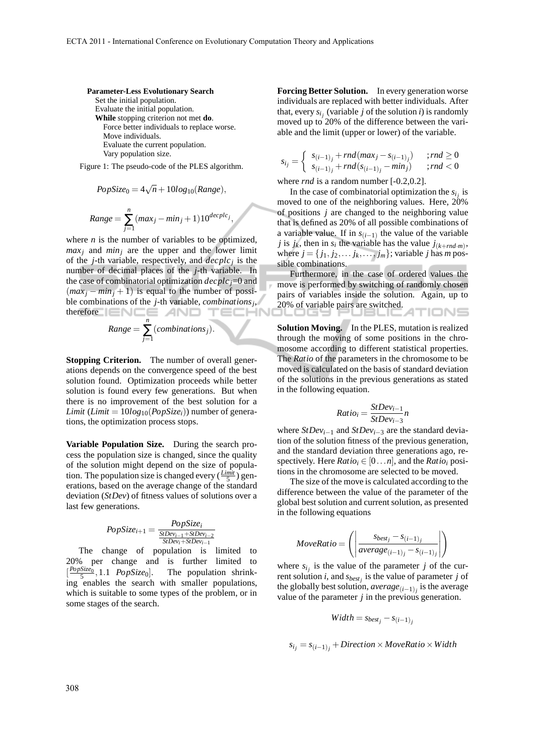#### **Parameter-Less Evolutionary Search**

Set the initial population. Evaluate the initial population. **While** stopping criterion not met **do**. Force better individuals to replace worse. Move individuals. Evaluate the current population. Vary population size.

Figure 1: The pseudo-code of the PLES algorithm.

$$
PopSize_0 = 4\sqrt{n} + 10log_{10}(Range),
$$
  

$$
Range = \sum_{j=1}^{n} (max_j - min_j + 1)10^{decplc_j},
$$

where  $n$  is the number of variables to be optimized,  $max<sub>j</sub>$  and  $min<sub>j</sub>$  are the upper and the lower limit of the *j*-th variable, respectively, and *decplc<sup>j</sup>* is the number of decimal places of the *j*-th variable. In the case of combinatorial optimization *decplcj*=0 and  $(max<sub>i</sub> - min<sub>i</sub> + 1)$  is equal to the number of possible combinations of the *j*-th variable, *combinations<sup>j</sup>* , therefore **ENCE** AND ECHN

Range = 
$$
\sum_{j=1}^{n} (combinations_j).
$$

**Stopping Criterion.** The number of overall generations depends on the convergence speed of the best solution found. Optimization proceeds while better solution is found every few generations. But when there is no improvement of the best solution for a *Limit* (*Limit* =  $10log_{10}(PopSize_i)$ ) number of generations, the optimization process stops.

**Variable Population Size.** During the search process the population size is changed, since the quality of the solution might depend on the size of population. The population size is changed every  $(\frac{Limit}{5})$  generations, based on the average change of the standard deviation (*StDev*) of fitness values of solutions over a last few generations.

$$
PopSize_{i+1} = \frac{PopSize_i}{\frac{SIDev_{i-1} + SIDev_{i-2}}{SIDev_i + SIDev_{i-1}}}
$$

The change of population is limited to 20% per change and is further limited to [ *PopSize*0 5 The population shrinking enables the search with smaller populations, which is suitable to some types of the problem, or in some stages of the search.

**Forcing Better Solution.** In every generation worse individuals are replaced with better individuals. After that, every  $s_{i_j}$  (variable *j* of the solution *i*) is randomly moved up to 20% of the difference between the variable and the limit (upper or lower) of the variable.

$$
s_{i_j} = \begin{cases} s_{(i-1)_j} + rnd(max_j - s_{(i-1)_j}) & ; rnd \ge 0\\ s_{(i-1)_j} + rnd(s_{(i-1)_j} - min_j) & ; rnd < 0 \end{cases}
$$

where *rnd* is a random number [-0.2,0.2].

In the case of combinatorial optimization the  $s_{i_j}$  is moved to one of the neighboring values. Here, 20% of positions *j* are changed to the neighboring value that is defined as 20% of all possible combinations of a variable value. If in  $s_{(i-1)}$  the value of the variable *j* is  $j_k$ , then in  $s_i$  the variable has the value  $j_{(k+rnd \cdot m)}$ , where  $j = \{j_1, j_2, \ldots, j_k, \ldots, j_m\}$ ; variable *j* has *m* possible combinations.

Furthermore, in the case of ordered values the move is performed by switching of randomly chosen pairs of variables inside the solution. Again, up to 20% of variable pairs are switched. TIONS

**Solution Moving.** In the PLES, mutation is realized through the moving of some positions in the chromosome according to different statistical properties. The *Ratio* of the parameters in the chromosome to be moved is calculated on the basis of standard deviation of the solutions in the previous generations as stated in the following equation.

$$
Ratio_i = \frac{StDev_{i-1}}{StDev_{i-3}} n
$$

where *StDevi*−<sup>1</sup> and *StDevi*−<sup>3</sup> are the standard deviation of the solution fitness of the previous generation, and the standard deviation three generations ago, respectively. Here  $Ratio_i \in [0...n]$ , and the  $Ratio_i$  positions in the chromosome are selected to be moved.

The size of the move is calculated according to the difference between the value of the parameter of the global best solution and current solution, as presented in the following equations

$$
MoveRatio = \left( \left| \frac{s_{best_j} - s_{(i-1)_j}}{average_{(i-1)_j} - s_{(i-1)_j}} \right| \right)
$$

where  $s_{i_j}$  is the value of the parameter *j* of the current solution *i*, and *sbest<sup>j</sup>* is the value of parameter *j* of the globally best solution, *average* $(i-1)$ <sup>*j*</sup> is the average value of the parameter *j* in the previous generation.

$$
Width = s_{best_j} - s_{(i-1)_j}
$$

 $s_i_j = s_{(i-1)}$ <sub>*j*</sub> + Direction × MoveRatio × Width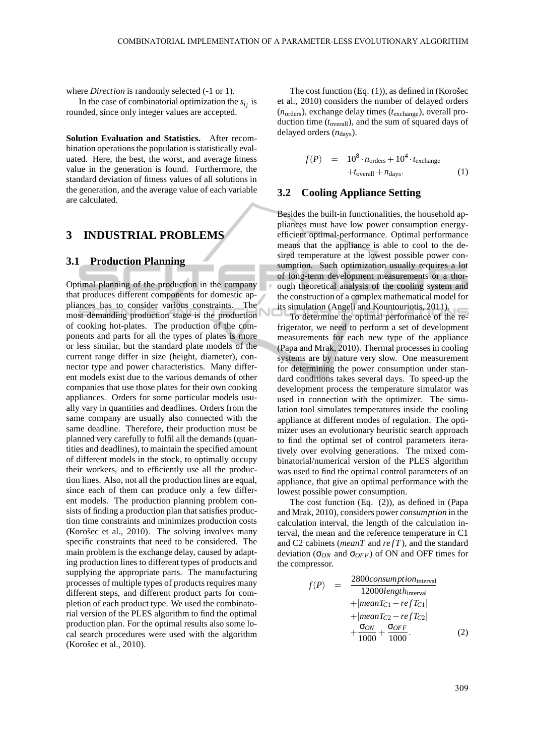where *Direction* is randomly selected  $(-1 \text{ or } 1)$ .

In the case of combinatorial optimization the  $s_{i_j}$  is rounded, since only integer values are accepted.

**Solution Evaluation and Statistics.** After recombination operations the population is statistically evaluated. Here, the best, the worst, and average fitness value in the generation is found. Furthermore, the standard deviation of fitness values of all solutions in the generation, and the average value of each variable are calculated.

## **3 INDUSTRIAL PROBLEMS**

#### **3.1 Production Planning**

Optimal planning of the production in the company that produces different components for domestic appliances has to consider various constraints. The most demanding production stage is the production of cooking hot-plates. The production of the components and parts for all the types of plates is more or less similar, but the standard plate models of the current range differ in size (height, diameter), connector type and power characteristics. Many different models exist due to the various demands of other companies that use those plates for their own cooking appliances. Orders for some particular models usually vary in quantities and deadlines. Orders from the same company are usually also connected with the same deadline. Therefore, their production must be planned very carefully to fulfil all the demands (quantities and deadlines), to maintain the specified amount of different models in the stock, to optimally occupy their workers, and to efficiently use all the production lines. Also, not all the production lines are equal, since each of them can produce only a few different models. The production planning problem consists of finding a production plan that satisfies production time constraints and minimizes production costs (Korošec et al., 2010). The solving involves many specific constraints that need to be considered. The main problem is the exchange delay, caused by adapting production lines to different types of products and supplying the appropriate parts. The manufacturing processes of multiple types of products requires many different steps, and different product parts for completion of each product type. We used the combinatorial version of the PLES algorithm to find the optimal production plan. For the optimal results also some local search procedures were used with the algorithm (Korošec et al., 2010).

The cost function  $(Eq. (1))$ , as defined in (Korošec et al., 2010) considers the number of delayed orders (*n*orders), exchange delay times (*t*exchange), overall production time (*t*overall), and the sum of squared days of delayed orders ( $n_{\text{days}}$ ).

$$
f(P) = 108 \cdot n_{\text{orders}} + 104 \cdot t_{\text{exchange}}
$$
  
+
$$
t_{\text{overall}} + n_{\text{days}}.
$$
 (1)

## **3.2 Cooling Appliance Setting**

Besides the built-in functionalities, the household appliances must have low power consumption energyefficient optimal-performance. Optimal performance means that the appliance is able to cool to the desired temperature at the lowest possible power consumption. Such optimization usually requires a lot of long-term development measurements or a thorough theoretical analysis of the cooling system and the construction of a complex mathematical model for its simulation (Angeli and Kountouriotis, 2011).

To determine the optimal performance of the refrigerator, we need to perform a set of development measurements for each new type of the appliance (Papa and Mrak, 2010). Thermal processes in cooling systems are by nature very slow. One measurement for determining the power consumption under standard conditions takes several days. To speed-up the development process the temperature simulator was used in connection with the optimizer. The simulation tool simulates temperatures inside the cooling appliance at different modes of regulation. The optimizer uses an evolutionary heuristic search approach to find the optimal set of control parameters iteratively over evolving generations. The mixed combinatorial/numerical version of the PLES algorithm was used to find the optimal control parameters of an appliance, that give an optimal performance with the lowest possible power consumption.

The cost function (Eq. (2)), as defined in (Papa and Mrak, 2010), considers power *consumption* in the calculation interval, the length of the calculation interval, the mean and the reference temperature in C1 and C2 cabinets (*meanT* and *refT*), and the standard deviation (σ*ON* and σ*OFF*) of ON and OFF times for the compressor.

$$
f(P) = \frac{2800\text{consumption}_{\text{interval}}}{12000\text{length}_{\text{interval}}} + |\text{mean}T_{C1} - \text{ref}T_{C1}| + |\text{mean}T_{C2} - \text{ref}T_{C2}| + \frac{\sigma_{ON}}{1000} + \frac{\sigma_{OFF}}{1000}.
$$
 (2)